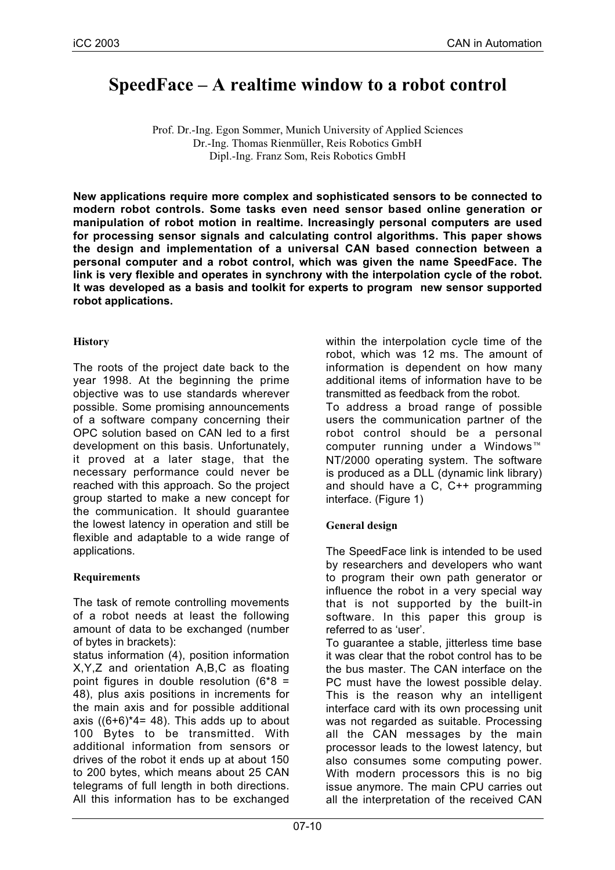# **SpeedFace – A realtime window to a robot control**

Prof. Dr.-Ing. Egon Sommer, Munich University of Applied Sciences Dr.-Ing. Thomas Rienmüller, Reis Robotics GmbH Dipl.-Ing. Franz Som, Reis Robotics GmbH

**New applications require more complex and sophisticated sensors to be connected to modern robot controls. Some tasks even need sensor based online generation or manipulation of robot motion in realtime. Increasingly personal computers are used for processing sensor signals and calculating control algorithms. This paper shows the design and implementation of a universal CAN based connection between a personal computer and a robot control, which was given the name SpeedFace. The link is very flexible and operates in synchrony with the interpolation cycle of the robot. It was developed as a basis and toolkit for experts to program new sensor supported robot applications.**

## **History**

The roots of the project date back to the year 1998. At the beginning the prime objective was to use standards wherever possible. Some promising announcements of a software company concerning their OPC solution based on CAN led to a first development on this basis. Unfortunately, it proved at a later stage, that the necessary performance could never be reached with this approach. So the project group started to make a new concept for the communication. It should guarantee the lowest latency in operation and still be flexible and adaptable to a wide range of applications.

## **Requirements**

The task of remote controlling movements of a robot needs at least the following amount of data to be exchanged (number of bytes in brackets):

status information (4), position information X,Y,Z and orientation A,B,C as floating point figures in double resolution  $(6*8 =$ 48), plus axis positions in increments for the main axis and for possible additional axis  $((6+6)*4=48)$ . This adds up to about 100 Bytes to be transmitted. With additional information from sensors or drives of the robot it ends up at about 150 to 200 bytes, which means about 25 CAN telegrams of full length in both directions. All this information has to be exchanged

within the interpolation cycle time of the robot, which was 12 ms. The amount of information is dependent on how many additional items of information have to be transmitted as feedback from the robot.

To address a broad range of possible users the communication partner of the robot control should be a personal computer running under a Windows<sup>™</sup> NT/2000 operating system. The software is produced as a DLL (dynamic link library) and should have a C, C++ programming interface. (Figure 1)

## **General design**

The SpeedFace link is intended to be used by researchers and developers who want to program their own path generator or influence the robot in a very special way that is not supported by the built-in software. In this paper this group is referred to as 'user'.

To guarantee a stable, jitterless time base it was clear that the robot control has to be the bus master. The CAN interface on the PC must have the lowest possible delay. This is the reason why an intelligent interface card with its own processing unit was not regarded as suitable. Processing all the CAN messages by the main processor leads to the lowest latency, but also consumes some computing power. With modern processors this is no big issue anymore. The main CPU carries out all the interpretation of the received CAN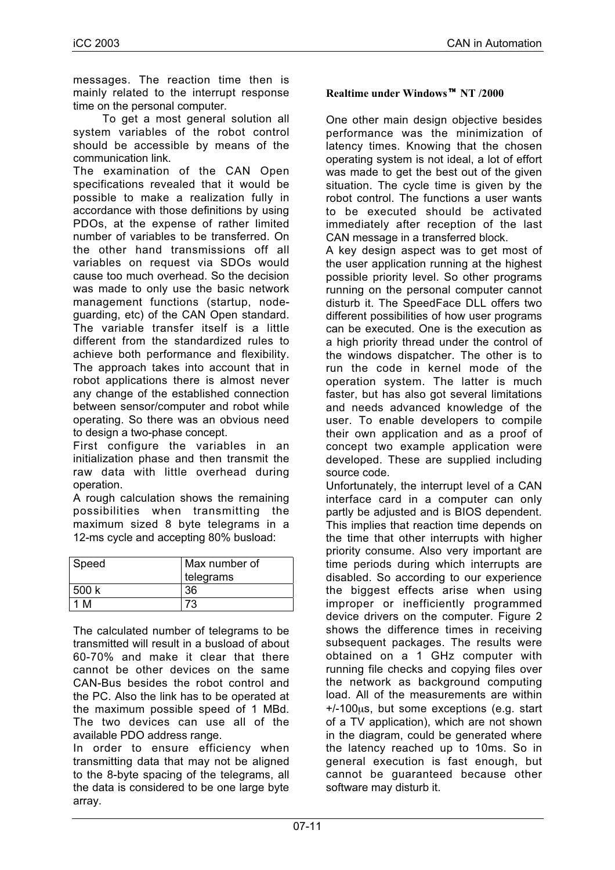messages. The reaction time then is mainly related to the interrupt response time on the personal computer.

To get a most general solution all system variables of the robot control should be accessible by means of the communication link.

The examination of the CAN Open specifications revealed that it would be possible to make a realization fully in accordance with those definitions by using PDOs, at the expense of rather limited number of variables to be transferred. On the other hand transmissions off all variables on request via SDOs would cause too much overhead. So the decision was made to only use the basic network management functions (startup, nodeguarding, etc) of the CAN Open standard. The variable transfer itself is a little different from the standardized rules to achieve both performance and flexibility. The approach takes into account that in robot applications there is almost never any change of the established connection between sensor/computer and robot while operating. So there was an obvious need to design a two-phase concept.

First configure the variables in an initialization phase and then transmit the raw data with little overhead during operation.

A rough calculation shows the remaining possibilities when transmitting the maximum sized 8 byte telegrams in a 12-ms cycle and accepting 80% busload:

| Speed | Max number of<br>telegrams |
|-------|----------------------------|
| 500k  | 36                         |
| M     | 73                         |

The calculated number of telegrams to be transmitted will result in a busload of about 60-70% and make it clear that there cannot be other devices on the same CAN-Bus besides the robot control and the PC. Also the link has to be operated at the maximum possible speed of 1 MBd. The two devices can use all of the available PDO address range.

In order to ensure efficiency when transmitting data that may not be aligned to the 8-byte spacing of the telegrams, all the data is considered to be one large byte array.

### **Realtime under Windows NT /2000**

One other main design objective besides performance was the minimization of latency times. Knowing that the chosen operating system is not ideal, a lot of effort was made to get the best out of the given situation. The cycle time is given by the robot control. The functions a user wants to be executed should be activated immediately after reception of the last CAN message in a transferred block.

A key design aspect was to get most of the user application running at the highest possible priority level. So other programs running on the personal computer cannot disturb it. The SpeedFace DLL offers two different possibilities of how user programs can be executed. One is the execution as a high priority thread under the control of the windows dispatcher. The other is to run the code in kernel mode of the operation system. The latter is much faster, but has also got several limitations and needs advanced knowledge of the user. To enable developers to compile their own application and as a proof of concept two example application were developed. These are supplied including source code.

Unfortunately, the interrupt level of a CAN interface card in a computer can only partly be adjusted and is BIOS dependent. This implies that reaction time depends on the time that other interrupts with higher priority consume. Also very important are time periods during which interrupts are disabled. So according to our experience the biggest effects arise when using improper or inefficiently programmed device drivers on the computer. Figure 2 shows the difference times in receiving subsequent packages. The results were obtained on a 1 GHz computer with running file checks and copying files over the network as background computing load. All of the measurements are within +/-100µs, but some exceptions (e.g. start of a TV application), which are not shown in the diagram, could be generated where the latency reached up to 10ms. So in general execution is fast enough, but cannot be guaranteed because other software may disturb it.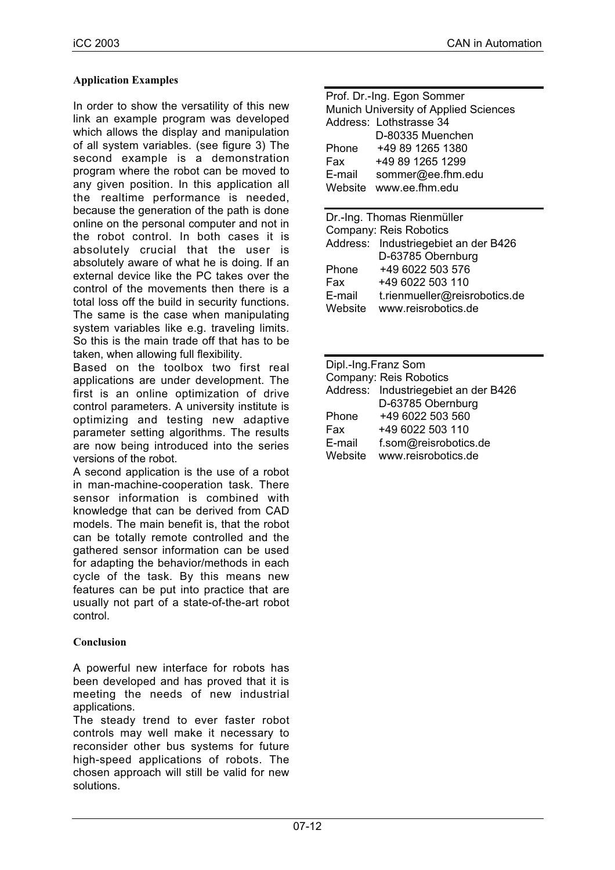### **Application Examples**

In order to show the versatility of this new link an example program was developed which allows the display and manipulation of all system variables. (see figure 3) The second example is a demonstration program where the robot can be moved to any given position. In this application all the realtime performance is needed, because the generation of the path is done online on the personal computer and not in the robot control. In both cases it is absolutely crucial that the user is absolutely aware of what he is doing. If an external device like the PC takes over the control of the movements then there is a total loss off the build in security functions. The same is the case when manipulating system variables like e.g. traveling limits. So this is the main trade off that has to be taken, when allowing full flexibility.

Based on the toolbox two first real applications are under development. The first is an online optimization of drive control parameters. A university institute is optimizing and testing new adaptive parameter setting algorithms. The results are now being introduced into the series versions of the robot.

A second application is the use of a robot in man-machine-cooperation task. There sensor information is combined with knowledge that can be derived from CAD models. The main benefit is, that the robot can be totally remote controlled and the gathered sensor information can be used for adapting the behavior/methods in each cycle of the task. By this means new features can be put into practice that are usually not part of a state-of-the-art robot control.

#### **Conclusion**

A powerful new interface for robots has been developed and has proved that it is meeting the needs of new industrial applications.

The steady trend to ever faster robot controls may well make it necessary to reconsider other bus systems for future high-speed applications of robots. The chosen approach will still be valid for new solutions.

| Prof. Dr.-Ing. Egon Sommer            |                                      |  |
|---------------------------------------|--------------------------------------|--|
| Munich University of Applied Sciences |                                      |  |
|                                       | Address: Lothstrasse 34              |  |
|                                       | D-80335 Muenchen                     |  |
| Phone                                 | +49 89 1265 1380                     |  |
| Fax                                   | +49 89 1265 1299                     |  |
| E-mail                                | sommer@ee.fhm.edu                    |  |
|                                       | Website www.ee.fhm.edu               |  |
|                                       |                                      |  |
| Dr.-Ing. Thomas Rienmüller            |                                      |  |
| Company: Reis Robotics                |                                      |  |
|                                       | Address: Industriegebiet an der B426 |  |
|                                       | D-63785 Obernburg                    |  |
| Phone                                 | +49 6022 503 576                     |  |

E-mail t.rienmueller@reisrobotics.de

Fax +49 6022 503 110

Website www.reisrobotics.de

Dipl.-Ing.Franz Som

| Dipi.-ing.Franz Som           |                                      |  |
|-------------------------------|--------------------------------------|--|
| <b>Company: Reis Robotics</b> |                                      |  |
|                               | Address: Industriegebiet an der B426 |  |
|                               | D-63785 Obernburg                    |  |
| Phone                         | +49 6022 503 560                     |  |
| Fax                           | +49 6022 503 110                     |  |
| E-mail                        | f.som@reisrobotics.de                |  |
| Website                       | www.reisrobotics.de                  |  |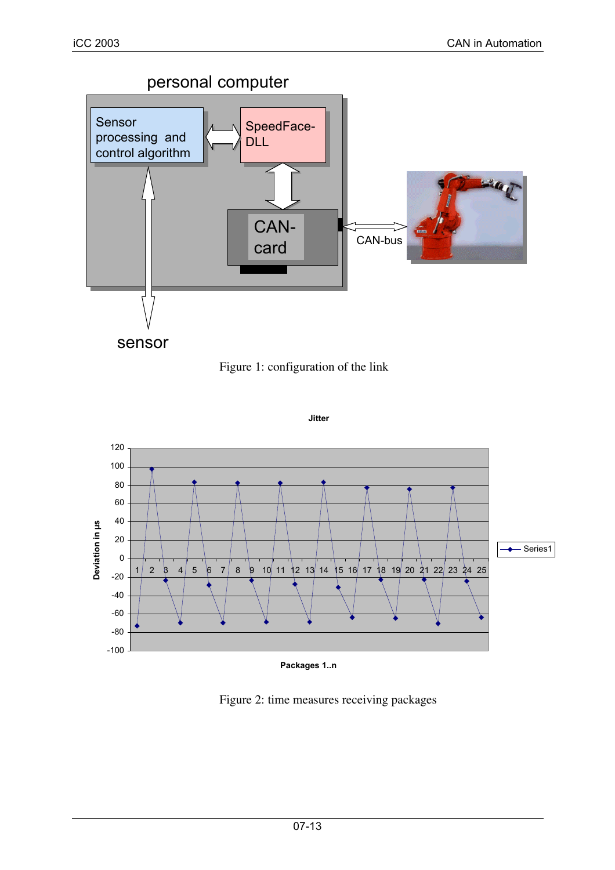



**Jitter**



**Packages 1..n**

Figure 2: time measures receiving packages